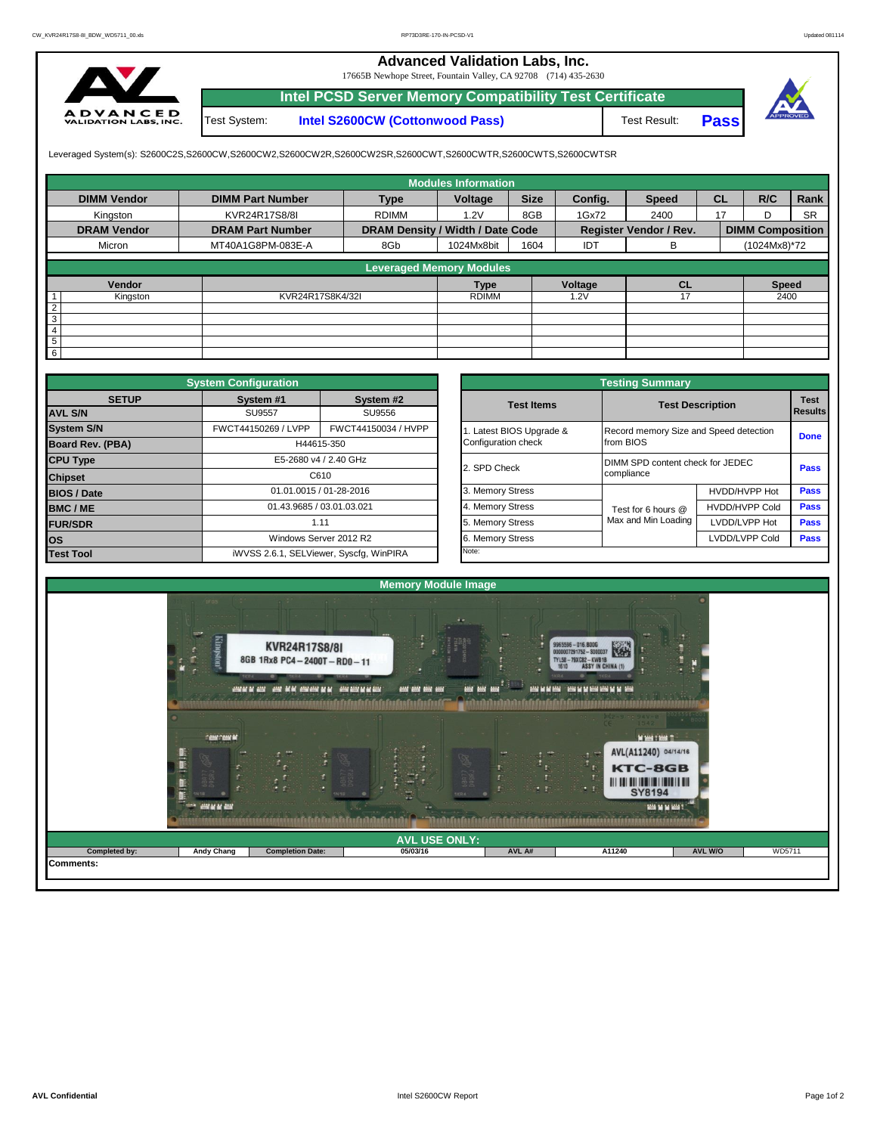## **Advanced Validation Labs, Inc.**

17665B Newhope Street, Fountain Valley, CA 92708 (714) 435-2630



Test System: **Intel S2600CW (Cottonwood Pass) Intel PCSD Server Memory Compatibility Test Certificate**

Test Result: **Pass**



Leveraged System(s): S2600C2S,S2600CW,S2600CW2,S2600CW2R,S2600CW2SR,S2600CWT,S2600CWTR,S2600CWTS,S2600CWTSR

|                    |                         |                                  | <b>Modules Information</b> |             |            |                               |           |                         |           |
|--------------------|-------------------------|----------------------------------|----------------------------|-------------|------------|-------------------------------|-----------|-------------------------|-----------|
| <b>DIMM Vendor</b> | <b>DIMM Part Number</b> | <b>Type</b>                      | Voltage                    | <b>Size</b> | Config.    | <b>Speed</b>                  | <b>CL</b> | R/C                     | Rank      |
| Kingston           | KVR24R17S8/8I           | <b>RDIMM</b>                     | 1.2V                       | 8GB         | 1Gx72      | 2400                          | 17        | D                       | <b>SR</b> |
| <b>DRAM Vendor</b> | <b>DRAM Part Number</b> | DRAM Density / Width / Date Code |                            |             |            | <b>Register Vendor / Rev.</b> |           | <b>DIMM Composition</b> |           |
| Micron             | MT40A1G8PM-083E-A       | 8Gb                              | 1024Mx8bit                 | 1604        | <b>IDT</b> | В                             |           | (1024Mx8)*72            |           |
|                    |                         | <b>Leveraged Memory Modules</b>  |                            |             |            |                               |           |                         |           |
|                    |                         |                                  |                            |             |            |                               |           |                         |           |
| Vendor             |                         |                                  | <b>Type</b>                |             | Voltage    | <b>CL</b>                     |           | <b>Speed</b>            |           |
| Kingston           | KVR24R17S8K4/32I        |                                  | <b>RDIMM</b>               |             | 1.2V       | 17                            |           | 2400                    |           |
| $\overline{2}$     |                         |                                  |                            |             |            |                               |           |                         |           |
| 3                  |                         |                                  |                            |             |            |                               |           |                         |           |
| 4                  |                         |                                  |                            |             |            |                               |           |                         |           |
| 5                  |                         |                                  |                            |             |            |                               |           |                         |           |
| 6                  |                         |                                  |                            |             |            |                               |           |                         |           |

|                    | <b>System Configuration</b> |                                         |  |                       |                                        |                                                |             |  |  |
|--------------------|-----------------------------|-----------------------------------------|--|-----------------------|----------------------------------------|------------------------------------------------|-------------|--|--|
| <b>SETUP</b>       | System #1                   | System #2                               |  | <b>Test Items</b>     |                                        | <b>Test Description</b>                        | <b>Test</b> |  |  |
| <b>AVL S/N</b>     | <b>SU9557</b><br>SU9556     |                                         |  | Results               |                                        |                                                |             |  |  |
| <b>System S/N</b>  | FWCT44150269 / LVPP         | FWCT44150034 / HVPP                     |  | Latest BIOS Upgrade & | Record memory Size and Speed detection |                                                | <b>Done</b> |  |  |
| Board Rev. (PBA)   |                             | H44615-350                              |  | Configuration check   | from BIOS                              |                                                |             |  |  |
| <b>CPU Type</b>    | E5-2680 v4 / 2.40 GHz       |                                         |  | 2. SPD Check          |                                        | DIMM SPD content check for JEDEC<br>compliance |             |  |  |
| <b>Chipset</b>     | C610                        |                                         |  |                       |                                        |                                                |             |  |  |
| <b>BIOS / Date</b> |                             | 01.01.0015 / 01-28-2016                 |  | 3. Memory Stress      |                                        | HVDD/HVPP Hot                                  | <b>Pass</b> |  |  |
| <b>BMC/ME</b>      |                             | 01.43.9685 / 03.01.03.021               |  | 4. Memory Stress      | Test for 6 hours @                     | <b>HVDD/HVPP Cold</b>                          | <b>Pass</b> |  |  |
| <b>FUR/SDR</b>     |                             | 1.11                                    |  | 5. Memory Stress      | Max and Min Loading                    | LVDD/LVPP Hot                                  | Pass        |  |  |
| <b>los</b>         |                             | Windows Server 2012 R2                  |  | 6. Memory Stress      |                                        | LVDD/LVPP Cold                                 | Pass        |  |  |
| <b>Test Tool</b>   |                             | iWVSS 2.6.1, SELViewer, Syscfq, WinPIRA |  | Note:                 |                                        |                                                |             |  |  |

|              | <b>System Configuration</b> |                                         |                       | <b>Testing Summary</b>           |                                        |                |  |  |  |
|--------------|-----------------------------|-----------------------------------------|-----------------------|----------------------------------|----------------------------------------|----------------|--|--|--|
| <b>SETUP</b> | System #1                   | System #2                               | <b>Test Items</b>     | <b>Test Description</b>          |                                        | <b>Test</b>    |  |  |  |
|              | <b>SU9557</b>               | SU9556                                  |                       |                                  |                                        | <b>Results</b> |  |  |  |
|              | FWCT44150269 / LVPP         | FWCT44150034 / HVPP                     | Latest BIOS Upgrade & |                                  | Record memory Size and Speed detection |                |  |  |  |
| PBA)         |                             | H44615-350                              | Configuration check   | from BIOS                        |                                        | <b>Done</b>    |  |  |  |
|              |                             | E5-2680 v4 / 2.40 GHz                   | 2. SPD Check          | DIMM SPD content check for JEDEC |                                        | Pass           |  |  |  |
|              |                             | C610                                    |                       | compliance                       |                                        |                |  |  |  |
|              |                             | 01.01.0015 / 01-28-2016                 | 3. Memory Stress      |                                  | HVDD/HVPP Hot                          | Pass           |  |  |  |
|              | 01.43.9685 / 03.01.03.021   |                                         | 4. Memory Stress      | Test for 6 hours @               | <b>HVDD/HVPP Cold</b>                  | Pass           |  |  |  |
|              |                             | 1.11                                    | 5. Memory Stress      | Max and Min Loading              | LVDD/LVPP Hot                          | Pass           |  |  |  |
|              |                             | Windows Server 2012 R2                  | 6. Memory Stress      |                                  | LVDD/LVPP Cold                         | Pass           |  |  |  |
|              |                             | iWVSS 2.6.1, SELViewer, Syscfq, WinPIRA | Note:                 |                                  |                                        |                |  |  |  |